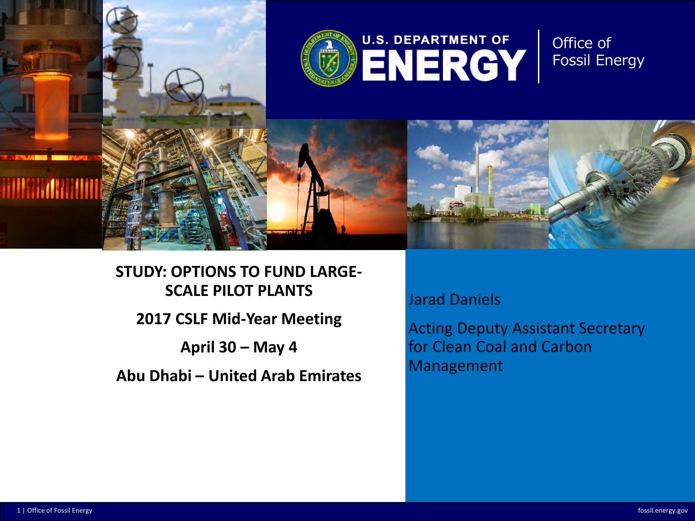

**STUDY: OPTIONS TO FUND LARGE-SCALE PILOT PLANTS 2017 CSLF Mid-Year Meeting April 30 – May 4**

**Abu Dhabi – United Arab Emirates**

Jarad Daniels

Acting Deputy Assistant Secretary for Clean Coal and Carbon Management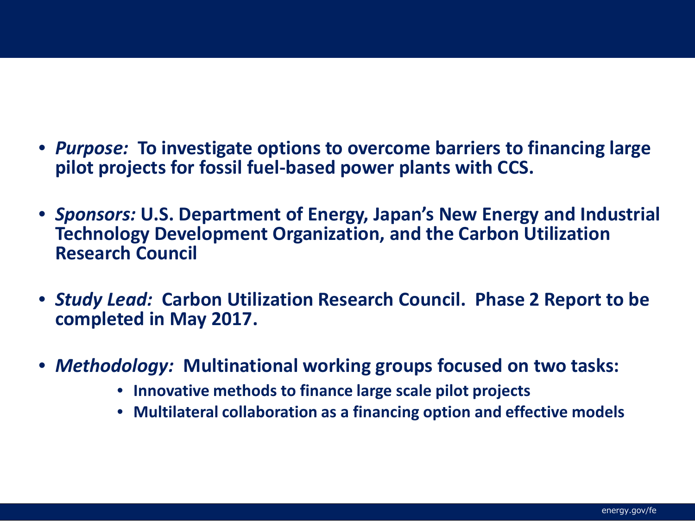- *Purpose:* **To investigate options to overcome barriers to financing large pilot projects for fossil fuel-based power plants with CCS.**
- *Sponsors:* **U.S. Department of Energy, Japan's New Energy and Industrial Technology Development Organization, and the Carbon Utilization Research Council**
- *Study Lead:* **Carbon Utilization Research Council. Phase 2 Report to be completed in May 2017.**
- *Methodology:* **Multinational working groups focused on two tasks:**
	- **Innovative methods to finance large scale pilot projects**
	- **Multilateral collaboration as a financing option and effective models**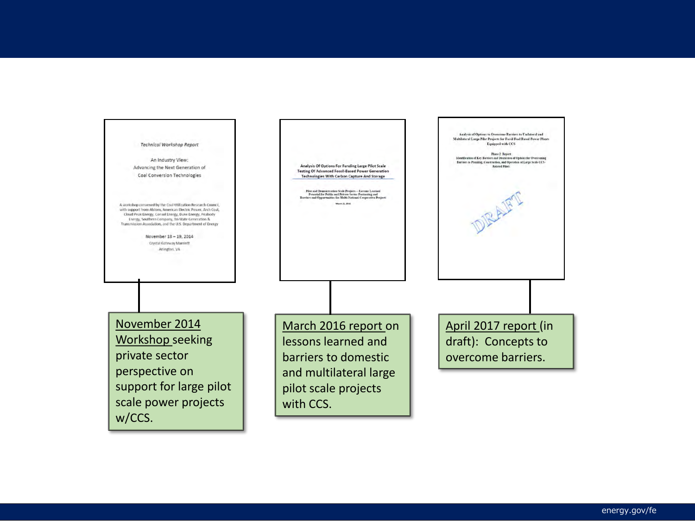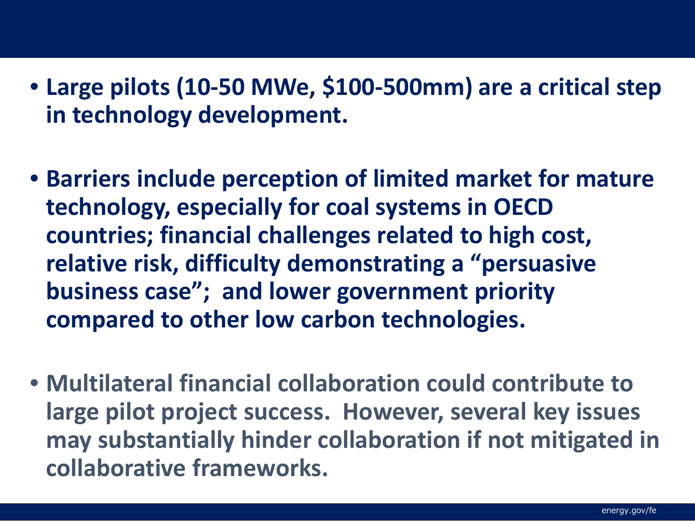- Large pilots (10-50 MWe, \$100-500mm) are a critical step **in technology development.**
- **Barriers include perception of limited market for mature technology, especially for coal systems in OECD countries; financial challenges related to high cost, relative risk, difficulty demonstrating a "persuasive business case"; and lower government priority compared to other low carbon technologies.**
- **Multilateral financial collaboration could contribute to large pilot project success. However, several key issues may substantially hinder collaboration if not mitigated in collaborative frameworks.**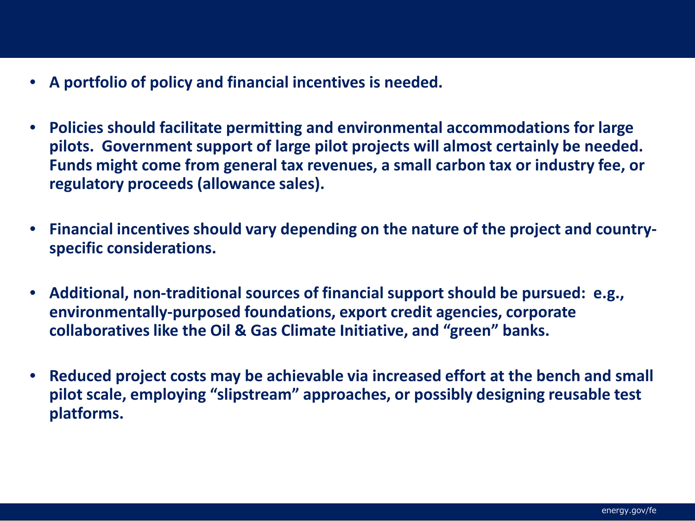- A portfolio of policy and financial incentives is needed.
- **Policies should facilitate permitting and environmental accommodations for large pilots. Government support of large pilot projects will almost certainly be needed. Funds might come from general tax revenues, a small carbon tax or industry fee, or regulatory proceeds (allowance sales).**
- **Financial incentives should vary depending on the nature of the project and countryspecific considerations.**
- **Additional, non-traditional sources of financial support should be pursued: e.g., environmentally-purposed foundations, export credit agencies, corporate collaboratives like the Oil & Gas Climate Initiative, and "green" banks.**
- **Reduced project costs may be achievable via increased effort at the bench and small pilot scale, employing "slipstream" approaches, or possibly designing reusable test platforms.**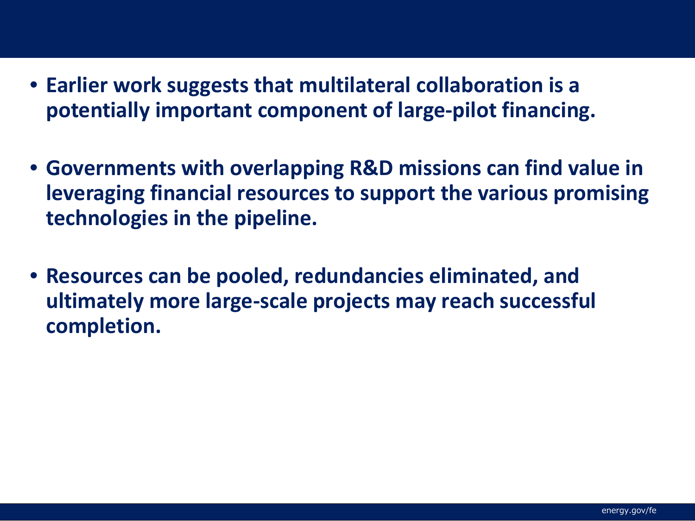- Farlier work suggests Rationale for Consideration • **Earlier work suggests that multilateral collaboration is a potentially important component of large-pilot financing.** 
	- **Governments with overlapping R&D missions can find value in leveraging financial resources to support the various promising technologies in the pipeline.**
	- **Resources can be pooled, redundancies eliminated, and ultimately more large-scale projects may reach successful completion.**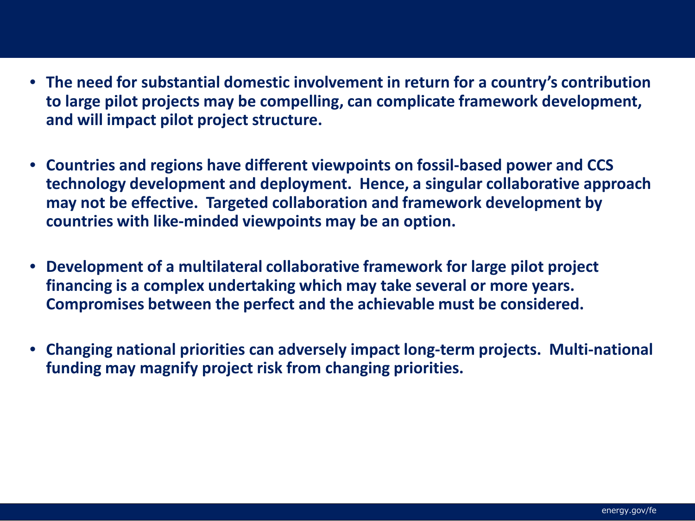- The need for substantial domestic involvement in return for a country's contribution to large pilot projects may be compelling, can complicate framework development, **and will impact pilot project structure.**
	- **Countries and regions have different viewpoints on fossil-based power and CCS technology development and deployment. Hence, a singular collaborative approach may not be effective. Targeted collaboration and framework development by countries with like-minded viewpoints may be an option.**
	- **Development of a multilateral collaborative framework for large pilot project financing is a complex undertaking which may take several or more years. Compromises between the perfect and the achievable must be considered.**
	- **Changing national priorities can adversely impact long-term projects. Multi-national funding may magnify project risk from changing priorities.**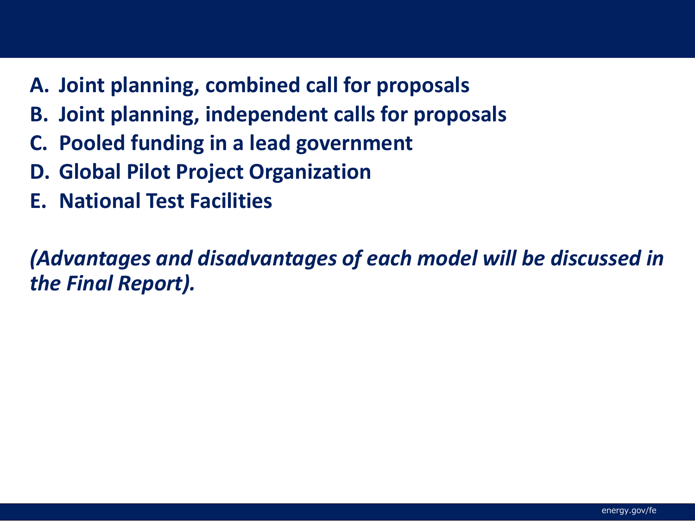- A. Joint planning, comb  $\mathbb{R}$  Models Constituting (Section Constitutional Slides) **A. Joint planning, combined call for proposals**
	- **B. Joint planning, independent calls for proposals**
	- **C. Pooled funding in a lead government**
	- **D. Global Pilot Project Organization**
	- **E. National Test Facilities**

*(Advantages and disadvantages of each model will be discussed in the Final Report).*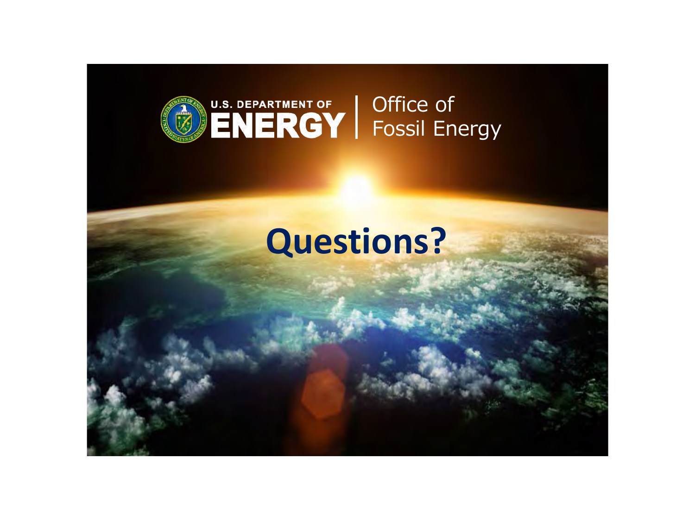

## **Questions?**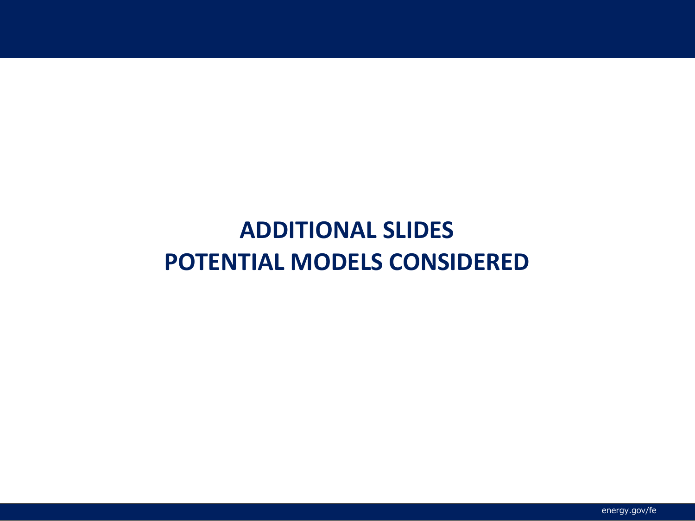## **ADDITIONAL SLIDES POTENTIAL MODELS CONSIDERED**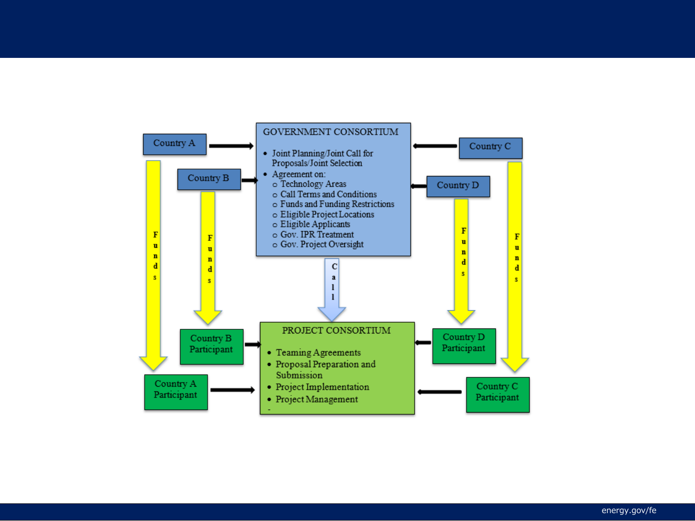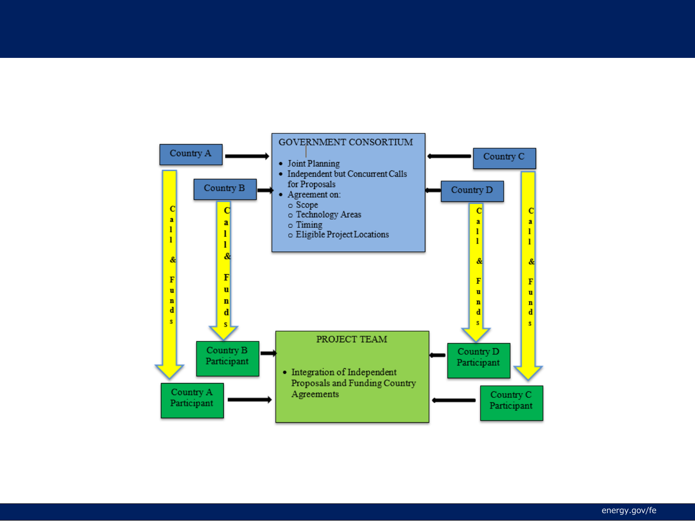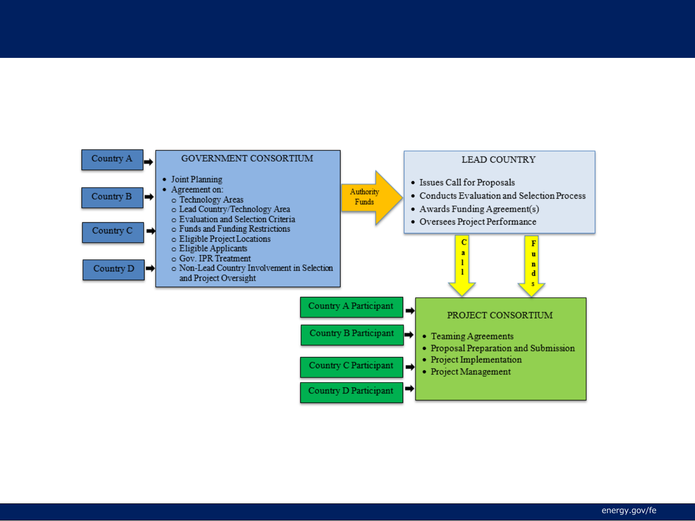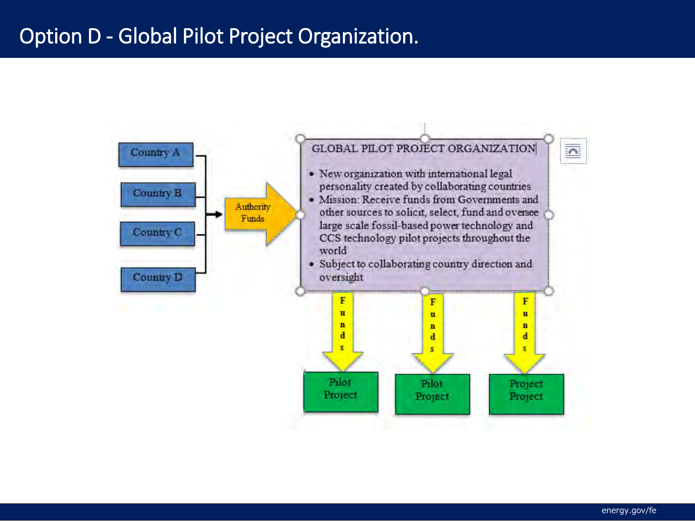## Option D - Global Pilot Project Organization.